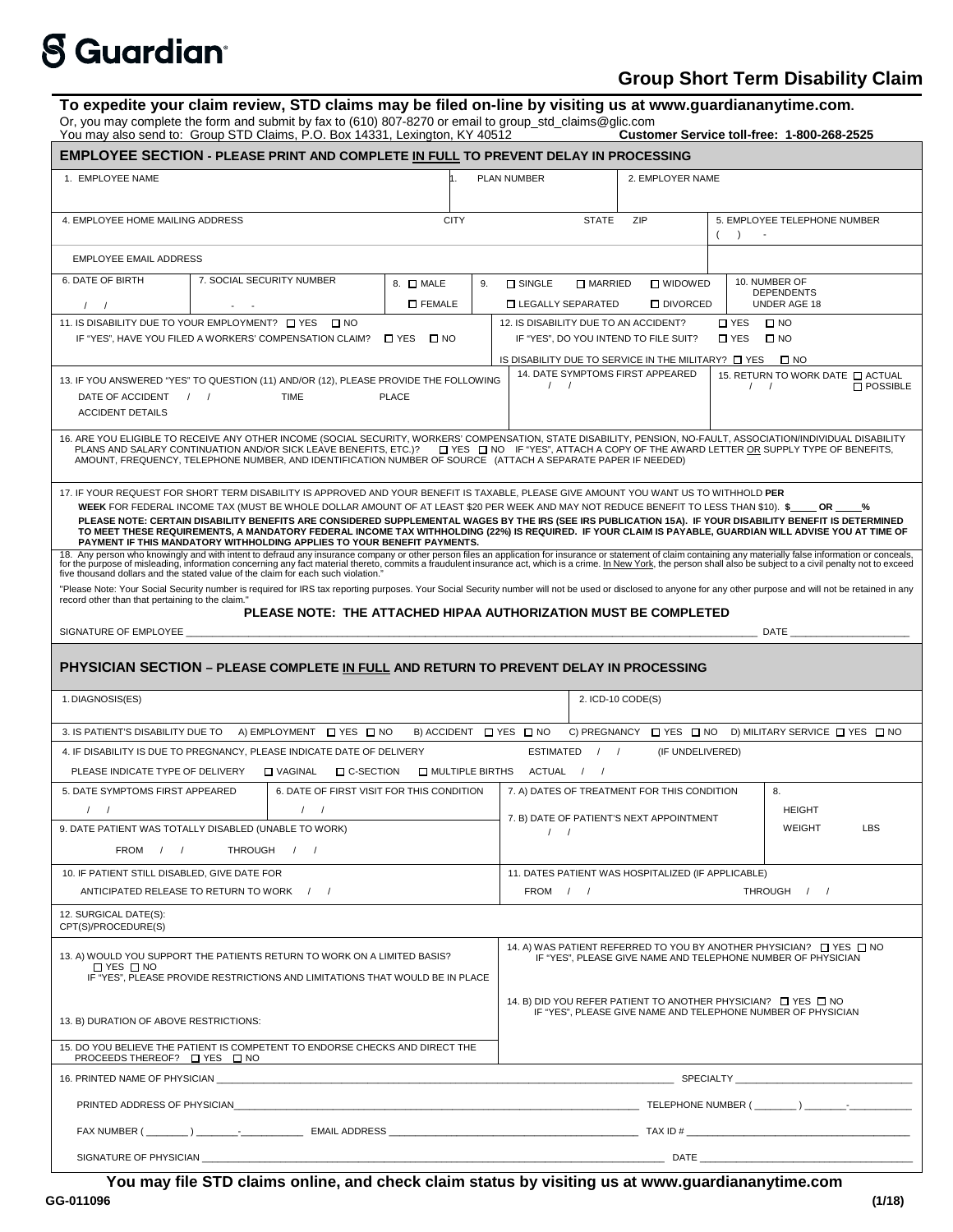## č

#### **Group Short Term Disability Claim**

| $\overline{\mathbf{S}}$ Guardian $^{\circ}$                                                                                                                                                                                                                                                                                                                                                                                                                                                                                                                                                                                                                                           |                                                                                                                                                                                                                                                                                                     |                              |    |                                                            |                |                         |  | <b>Group Short Term Disability Clain</b>                                  |  |  |
|---------------------------------------------------------------------------------------------------------------------------------------------------------------------------------------------------------------------------------------------------------------------------------------------------------------------------------------------------------------------------------------------------------------------------------------------------------------------------------------------------------------------------------------------------------------------------------------------------------------------------------------------------------------------------------------|-----------------------------------------------------------------------------------------------------------------------------------------------------------------------------------------------------------------------------------------------------------------------------------------------------|------------------------------|----|------------------------------------------------------------|----------------|-------------------------|--|---------------------------------------------------------------------------|--|--|
|                                                                                                                                                                                                                                                                                                                                                                                                                                                                                                                                                                                                                                                                                       | To expedite your claim review, STD claims may be filed on-line by visiting us at www.guardiananytime.com.<br>Or, you may complete the form and submit by fax to (610) 807-8270 or email to group_std_claims@glic.com<br>You may also send to: Group STD Claims, P.O. Box 14331, Lexington, KY 40512 |                              |    |                                                            |                |                         |  | Customer Service toll-free: 1-800-268-2525                                |  |  |
|                                                                                                                                                                                                                                                                                                                                                                                                                                                                                                                                                                                                                                                                                       | <b>EMPLOYEE SECTION - PLEASE PRINT AND COMPLETE IN FULL TO PREVENT DELAY IN PROCESSING</b>                                                                                                                                                                                                          |                              |    |                                                            |                |                         |  |                                                                           |  |  |
| 1. EMPLOYEE NAME                                                                                                                                                                                                                                                                                                                                                                                                                                                                                                                                                                                                                                                                      |                                                                                                                                                                                                                                                                                                     |                              |    | <b>PLAN NUMBER</b>                                         |                | 2. EMPLOYER NAME        |  |                                                                           |  |  |
| 4. EMPLOYEE HOME MAILING ADDRESS                                                                                                                                                                                                                                                                                                                                                                                                                                                                                                                                                                                                                                                      |                                                                                                                                                                                                                                                                                                     | <b>CITY</b>                  |    |                                                            | <b>STATE</b>   | ZIP                     |  | 5. EMPLOYEE TELEPHONE NUMBER<br>$\rightarrow$                             |  |  |
| <b>EMPLOYEE EMAIL ADDRESS</b>                                                                                                                                                                                                                                                                                                                                                                                                                                                                                                                                                                                                                                                         |                                                                                                                                                                                                                                                                                                     |                              |    |                                                            |                |                         |  |                                                                           |  |  |
| 6. DATE OF BIRTH<br>$\prime$                                                                                                                                                                                                                                                                                                                                                                                                                                                                                                                                                                                                                                                          | 7. SOCIAL SECURITY NUMBER                                                                                                                                                                                                                                                                           | 8. □ MALE<br><b>O</b> FEMALE | 9. | $\square$ SINGLE<br><b>LEGALLY SEPARATED</b>               | $\Box$ MARRIED | □ WIDOWED<br>□ DIVORCED |  | 10. NUMBER OF<br><b>DEPENDENTS</b><br><b>UNDER AGE 18</b>                 |  |  |
| 11. IS DISABILITY DUE TO YOUR EMPLOYMENT? □ YES □ NO<br>12. IS DISABILITY DUE TO AN ACCIDENT?<br>$\Box$ YES<br>$\square$ NO<br>IF "YES", HAVE YOU FILED A WORKERS' COMPENSATION CLAIM?<br>IF "YES", DO YOU INTEND TO FILE SUIT?<br>$\Box$ YES<br>$\Box$ YES $\Box$ NO<br>$\square$ NO<br>IS DISABILITY DUE TO SERVICE IN THE MILITARY? $\Box$ YES $\Box$ NO                                                                                                                                                                                                                                                                                                                           |                                                                                                                                                                                                                                                                                                     |                              |    |                                                            |                |                         |  |                                                                           |  |  |
| 13. IF YOU ANSWERED "YES" TO QUESTION (11) AND/OR (12), PLEASE PROVIDE THE FOLLOWING<br>PLACE<br>DATE OF ACCIDENT<br>$\frac{1}{2}$<br>TIME<br><b>ACCIDENT DETAILS</b>                                                                                                                                                                                                                                                                                                                                                                                                                                                                                                                 |                                                                                                                                                                                                                                                                                                     |                              |    | 14. DATE SYMPTOMS FIRST APPEARED<br>$\prime$<br>$\sqrt{ }$ |                |                         |  | 15. RETURN TO WORK DATE [ ACTUAL<br><b>O</b> POSSIBLE<br>$\left  \right $ |  |  |
| 16. ARE YOU ELIGIBLE TO RECEIVE ANY OTHER INCOME (SOCIAL SECURITY, WORKERS' COMPENSATION, STATE DISABILITY, PENSION, NO-FAULT, ASSOCIATION/INDIVIDUAL DISABILITY<br>PLANS AND SALARY CONTINUATION AND/OR SICK LEAVE BENEFITS, ETC.)?<br>U YES  U NO IF "YES", ATTACH A COPY OF THE AWARD LETTER OR SUPPLY TYPE OF BENEFITS,<br>AMOUNT, FREQUENCY, TELEPHONE NUMBER, AND IDENTIFICATION NUMBER OF SOURCE (ATTACH A SEPARATE PAPER IF NEEDED)                                                                                                                                                                                                                                           |                                                                                                                                                                                                                                                                                                     |                              |    |                                                            |                |                         |  |                                                                           |  |  |
| 17. IF YOUR REQUEST FOR SHORT TERM DISABILITY IS APPROVED AND YOUR BENEFIT IS TAXABLE, PLEASE GIVE AMOUNT YOU WANT US TO WITHHOLD PER<br>WEEK FOR FEDERAL INCOME TAX (MUST BE WHOLE DOLLAR AMOUNT OF AT LEAST \$20 PER WEEK AND MAY NOT REDUCE BENEFIT TO LESS THAN \$10). \$ OR %<br>PLEASE NOTE: CERTAIN DISABILITY BENEFITS ARE CONSIDERED SUPPLEMENTAL WAGES BY THE IRS (SEE IRS PUBLICATION 15A). IF YOUR DISABILITY BENEFIT IS DETERMINED<br>TO MEET THESE REQUIREMENTS, A MANDATORY FEDERAL INCOME TAX WITHHOLDING (22%) IS REQUIRED. IF YOUR CLAIM IS PAYABLE, GUARDIAN WILL ADVISE YOU AT TIME OF<br>PAYMENT IF THIS MANDATORY WITHHOLDING APPLIES TO YOUR BENEFIT PAYMENTS. |                                                                                                                                                                                                                                                                                                     |                              |    |                                                            |                |                         |  |                                                                           |  |  |
| 18. Any person who knowingly and with intent to defraud any insurance company or other person files an application for insurance or statement of claim containing any materially false information or conceals,<br>for the purpose of misleading, information concerning any fact material thereto, commits a fraudulent insurance act, which is a crime. In New York, the person shall also be subject to a civil penalty not to exceed<br>five thousand dollars and the stated value of the claim for each such violation.                                                                                                                                                          |                                                                                                                                                                                                                                                                                                     |                              |    |                                                            |                |                         |  |                                                                           |  |  |
| "Please Note: Your Social Security number is required for IRS tax reporting purposes. Your Social Security number will not be used or disclosed to anyone for any other purpose and will not be retained in any<br>record other than that pertaining to the claim."<br>PLEASE NOTE: THE ATTACHED HIPAA AUTHORIZATION MUST BE COMPLETED                                                                                                                                                                                                                                                                                                                                                |                                                                                                                                                                                                                                                                                                     |                              |    |                                                            |                |                         |  |                                                                           |  |  |
| SIGNATURE OF EMPLOYEE<br>DATE                                                                                                                                                                                                                                                                                                                                                                                                                                                                                                                                                                                                                                                         |                                                                                                                                                                                                                                                                                                     |                              |    |                                                            |                |                         |  |                                                                           |  |  |
| PHYSICIAN SECTION – PLEASE COMPLETE IN FULL AND RETURN TO PREVENT DELAY IN PROCESSING                                                                                                                                                                                                                                                                                                                                                                                                                                                                                                                                                                                                 |                                                                                                                                                                                                                                                                                                     |                              |    |                                                            |                |                         |  |                                                                           |  |  |
| 1. DIAGNOSIS(ES)                                                                                                                                                                                                                                                                                                                                                                                                                                                                                                                                                                                                                                                                      |                                                                                                                                                                                                                                                                                                     |                              |    |                                                            |                | 2. ICD-10 CODE(S)       |  |                                                                           |  |  |

| 3. IS PATIENT'S DISABILITY DUE TO A) EMPLOYMENT □ YES □ NO                                                                                                                                                                     | B) ACCIDENT I YES I NO C) PREGNANCY I YES I NO D) MILITARY SERVICE I YES I NO                                                         |                                                    |  |  |  |  |  |
|--------------------------------------------------------------------------------------------------------------------------------------------------------------------------------------------------------------------------------|---------------------------------------------------------------------------------------------------------------------------------------|----------------------------------------------------|--|--|--|--|--|
| 4. IF DISABILITY IS DUE TO PREGNANCY. PLEASE INDICATE DATE OF DELIVERY<br>(IF UNDELIVERED)<br>ESTIMATED / /                                                                                                                    |                                                                                                                                       |                                                    |  |  |  |  |  |
| PLEASE INDICATE TYPE OF DELIVERY<br>□ VAGINAL<br>□ C-SECTION<br><b>D MULTIPLE BIRTHS</b><br>ACTUAL / /                                                                                                                         |                                                                                                                                       |                                                    |  |  |  |  |  |
| 6. DATE OF FIRST VISIT FOR THIS CONDITION<br>5. DATE SYMPTOMS FIRST APPEARED<br>$\sqrt{1}$<br>$\sqrt{1}$<br>9. DATE PATIENT WAS TOTALLY DISABLED (UNABLE TO WORK)<br>FROM / /<br>THROUGH / /                                   | 7. A) DATES OF TREATMENT FOR THIS CONDITION<br>7. B) DATE OF PATIENT'S NEXT APPOINTMENT                                               | 8.<br><b>HEIGHT</b><br><b>WEIGHT</b><br><b>LBS</b> |  |  |  |  |  |
| 10. IF PATIENT STILL DISABLED, GIVE DATE FOR                                                                                                                                                                                   | 11. DATES PATIENT WAS HOSPITALIZED (IF APPLICABLE)                                                                                    |                                                    |  |  |  |  |  |
| ANTICIPATED RELEASE TO RETURN TO WORK / /                                                                                                                                                                                      | FROM / /<br>THROUGH / /                                                                                                               |                                                    |  |  |  |  |  |
| 12. SURGICAL DATE(S):<br>CPT(S)/PROCEDURE(S)                                                                                                                                                                                   |                                                                                                                                       |                                                    |  |  |  |  |  |
| 13. A) WOULD YOU SUPPORT THE PATIENTS RETURN TO WORK ON A LIMITED BASIS?<br>$\Box$ YES $\Box$ NO<br>IF "YES", PLEASE PROVIDE RESTRICTIONS AND LIMITATIONS THAT WOULD BE IN PLACE                                               | 14. A) WAS PATIENT REFERRED TO YOU BY ANOTHER PHYSICIAN? IT YES IT NO<br>IF "YES", PLEASE GIVE NAME AND TELEPHONE NUMBER OF PHYSICIAN |                                                    |  |  |  |  |  |
| 13. B) DURATION OF ABOVE RESTRICTIONS:                                                                                                                                                                                         | 14. B) DID YOU REFER PATIENT TO ANOTHER PHYSICIAN? IT YES IT NO<br>IF "YES". PLEASE GIVE NAME AND TELEPHONE NUMBER OF PHYSICIAN       |                                                    |  |  |  |  |  |
| 15. DO YOU BELIEVE THE PATIENT IS COMPETENT TO ENDORSE CHECKS AND DIRECT THE<br>PROCEEDS THEREOF? □ YES □ NO                                                                                                                   |                                                                                                                                       |                                                    |  |  |  |  |  |
|                                                                                                                                                                                                                                |                                                                                                                                       |                                                    |  |  |  |  |  |
| PRINTED ADDRESS OF PHYSICIAN CONTINUES AND THE CONTROL CONTROL TELEPHONE NUMBER (CONTROL CONTROL CONTROL CONTROL CONTROL CONTROL CONTROL CONTROL CONTROL CONTROL CONTROL CONTROL CONTROL CONTROL CONTROL CONTROL CONTROL CONTR |                                                                                                                                       |                                                    |  |  |  |  |  |
|                                                                                                                                                                                                                                |                                                                                                                                       |                                                    |  |  |  |  |  |
| SIGNATURE OF PHYSICIAN                                                                                                                                                                                                         | DATE                                                                                                                                  |                                                    |  |  |  |  |  |

You may file STD claims online, and check claim status by visiting us at www.guardiananytime.com<br>GG-011096 **GG-011096 (1/18)**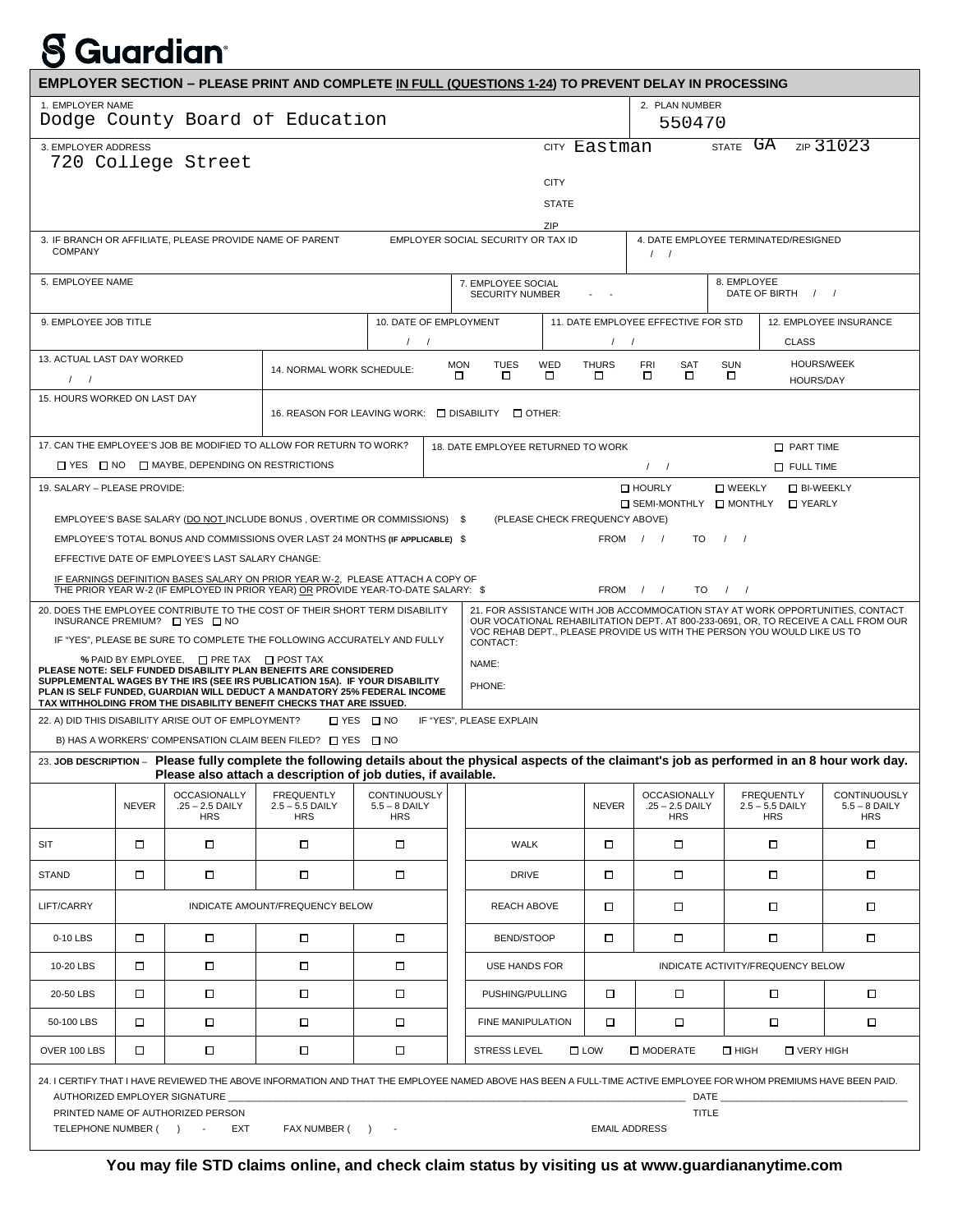### **S** Guardian®

| EMPLOYER SECTION - PLEASE PRINT AND COMPLETE IN FULL (QUESTIONS 1-24) TO PREVENT DELAY IN PROCESSING                                                                                                                                                                                       |                                                                     |                                                              |                                                                                                                                                                                                                         |                                                                                                      |                                                                                                       |                                    |                                                 |                          |                                                                         |                                                |                                                      |                                                                                                                                                                      |  |
|--------------------------------------------------------------------------------------------------------------------------------------------------------------------------------------------------------------------------------------------------------------------------------------------|---------------------------------------------------------------------|--------------------------------------------------------------|-------------------------------------------------------------------------------------------------------------------------------------------------------------------------------------------------------------------------|------------------------------------------------------------------------------------------------------|-------------------------------------------------------------------------------------------------------|------------------------------------|-------------------------------------------------|--------------------------|-------------------------------------------------------------------------|------------------------------------------------|------------------------------------------------------|----------------------------------------------------------------------------------------------------------------------------------------------------------------------|--|
| 1. EMPLOYER NAME<br>Dodge County Board of Education                                                                                                                                                                                                                                        |                                                                     |                                                              |                                                                                                                                                                                                                         |                                                                                                      |                                                                                                       |                                    |                                                 | 2. PLAN NUMBER<br>550470 |                                                                         |                                                |                                                      |                                                                                                                                                                      |  |
| 3. EMPLOYER ADDRESS<br>720 College Street                                                                                                                                                                                                                                                  |                                                                     |                                                              |                                                                                                                                                                                                                         |                                                                                                      |                                                                                                       |                                    | GA<br>ZIP 31023<br>CITY Eastman<br><b>STATE</b> |                          |                                                                         |                                                |                                                      |                                                                                                                                                                      |  |
| <b>CITY</b>                                                                                                                                                                                                                                                                                |                                                                     |                                                              |                                                                                                                                                                                                                         |                                                                                                      |                                                                                                       |                                    |                                                 |                          |                                                                         |                                                |                                                      |                                                                                                                                                                      |  |
|                                                                                                                                                                                                                                                                                            | <b>STATE</b>                                                        |                                                              |                                                                                                                                                                                                                         |                                                                                                      |                                                                                                       |                                    |                                                 |                          |                                                                         |                                                |                                                      |                                                                                                                                                                      |  |
| 3. IF BRANCH OR AFFILIATE, PLEASE PROVIDE NAME OF PARENT<br>EMPLOYER SOCIAL SECURITY OR TAX ID<br><b>COMPANY</b>                                                                                                                                                                           |                                                                     |                                                              |                                                                                                                                                                                                                         |                                                                                                      |                                                                                                       |                                    | ZIP                                             |                          | 4. DATE EMPLOYEE TERMINATED/RESIGNED<br>$\left  \right $                |                                                |                                                      |                                                                                                                                                                      |  |
| 5. EMPLOYEE NAME<br>7. EMPLOYEE SOCIAL<br><b>SECURITY NUMBER</b>                                                                                                                                                                                                                           |                                                                     |                                                              |                                                                                                                                                                                                                         |                                                                                                      |                                                                                                       | 8. EMPLOYEE<br>DATE OF BIRTH / /   |                                                 |                          |                                                                         |                                                |                                                      |                                                                                                                                                                      |  |
|                                                                                                                                                                                                                                                                                            | 9. EMPLOYEE JOB TITLE<br>10. DATE OF EMPLOYMENT<br>$\left  \right $ |                                                              |                                                                                                                                                                                                                         |                                                                                                      | 11. DATE EMPLOYEE EFFECTIVE FOR STD<br>12. EMPLOYEE INSURANCE<br>$\prime$<br><b>CLASS</b><br>$\prime$ |                                    |                                                 |                          |                                                                         |                                                |                                                      |                                                                                                                                                                      |  |
| 13. ACTUAL LAST DAY WORKED<br>$\left  \right $                                                                                                                                                                                                                                             |                                                                     |                                                              | 14. NORMAL WORK SCHEDULE:                                                                                                                                                                                               |                                                                                                      | <b>MON</b>                                                                                            | <b>TUES</b><br>$\Box$<br>□         | WED<br>$\Box$                                   | <b>THURS</b><br>$\Box$   | <b>FRI</b><br><b>SAT</b><br>$\Box$<br>П                                 | <b>SUN</b><br>$\Box$                           | <b>HOURS/WEEK</b><br><b>HOURS/DAY</b>                |                                                                                                                                                                      |  |
| 15. HOURS WORKED ON LAST DAY                                                                                                                                                                                                                                                               |                                                                     |                                                              | 16. REASON FOR LEAVING WORK: □ DISABILITY □ OTHER:                                                                                                                                                                      |                                                                                                      |                                                                                                       |                                    |                                                 |                          |                                                                         |                                                |                                                      |                                                                                                                                                                      |  |
|                                                                                                                                                                                                                                                                                            |                                                                     |                                                              | 17. CAN THE EMPLOYEE'S JOB BE MODIFIED TO ALLOW FOR RETURN TO WORK?                                                                                                                                                     |                                                                                                      |                                                                                                       | 18. DATE EMPLOYEE RETURNED TO WORK |                                                 |                          |                                                                         |                                                | <b>D</b> PART TIME                                   |                                                                                                                                                                      |  |
|                                                                                                                                                                                                                                                                                            |                                                                     | $\Box$ YES $\Box$ NO $\Box$ MAYBE, DEPENDING ON RESTRICTIONS |                                                                                                                                                                                                                         |                                                                                                      |                                                                                                       |                                    |                                                 |                          | $\left  \right $                                                        |                                                | $\Box$ FULL TIME                                     |                                                                                                                                                                      |  |
| 19. SALARY - PLEASE PROVIDE:                                                                                                                                                                                                                                                               |                                                                     |                                                              |                                                                                                                                                                                                                         |                                                                                                      |                                                                                                       |                                    |                                                 |                          | <b>O</b> HOURLY<br>$\Box$ SEMI-MONTHLY $\Box$ MONTHLY                   | <b>D</b> WEEKLY                                | <b>D BI-WEEKLY</b><br>□ YEARLY                       |                                                                                                                                                                      |  |
|                                                                                                                                                                                                                                                                                            |                                                                     |                                                              | EMPLOYEE'S BASE SALARY (DO NOT INCLUDE BONUS, OVERTIME OR COMMISSIONS) \$                                                                                                                                               |                                                                                                      |                                                                                                       |                                    | (PLEASE CHECK FREQUENCY ABOVE)                  |                          |                                                                         |                                                |                                                      |                                                                                                                                                                      |  |
|                                                                                                                                                                                                                                                                                            |                                                                     | EFFECTIVE DATE OF EMPLOYEE'S LAST SALARY CHANGE:             | EMPLOYEE'S TOTAL BONUS AND COMMISSIONS OVER LAST 24 MONTHS (IF APPLICABLE) \$                                                                                                                                           |                                                                                                      |                                                                                                       |                                    |                                                 |                          | FROM / /<br><b>TO</b>                                                   | $\sqrt{1}$                                     |                                                      |                                                                                                                                                                      |  |
|                                                                                                                                                                                                                                                                                            |                                                                     |                                                              | IF EARNINGS DEFINITION BASES SALARY ON PRIOR YEAR W-2, PLEASE ATTACH A COPY OF<br>THE PRIOR YEAR W-2 (IF EMPLOYED IN PRIOR YEAR) OR PROVIDE YEAR-TO-DATE SALARY: \$                                                     |                                                                                                      |                                                                                                       |                                    |                                                 |                          | FROM / /<br>TO.                                                         | $\left  \begin{array}{cc} \end{array} \right $ |                                                      |                                                                                                                                                                      |  |
|                                                                                                                                                                                                                                                                                            |                                                                     | INSURANCE PREMIUM? □ YES □ NO                                | 20. DOES THE EMPLOYEE CONTRIBUTE TO THE COST OF THEIR SHORT TERM DISABILITY                                                                                                                                             |                                                                                                      |                                                                                                       |                                    |                                                 |                          | VOC REHAB DEPT., PLEASE PROVIDE US WITH THE PERSON YOU WOULD LIKE US TO |                                                |                                                      | 21. FOR ASSISTANCE WITH JOB ACCOMMOCATION STAY AT WORK OPPORTUNITIES, CONTACT<br>OUR VOCATIONAL REHABILITATION DEPT. AT 800-233-0691, OR, TO RECEIVE A CALL FROM OUR |  |
|                                                                                                                                                                                                                                                                                            |                                                                     |                                                              | IF "YES", PLEASE BE SURE TO COMPLETE THE FOLLOWING ACCURATELY AND FULLY                                                                                                                                                 |                                                                                                      |                                                                                                       | CONTACT:                           |                                                 |                          |                                                                         |                                                |                                                      |                                                                                                                                                                      |  |
| % PAID BY EMPLOYEE, □ PRE TAX □ POST TAX<br>NAME:<br>PLEASE NOTE: SELF FUNDED DISABILITY PLAN BENEFITS ARE CONSIDERED<br>SUPPLEMENTAL WAGES BY THE IRS (SEE IRS PUBLICATION 15A). IF YOUR DISABILITY<br>PHONE:<br>PLAN IS SELF FUNDED, GUARDIAN WILL DEDUCT A MANDATORY 25% FEDERAL INCOME |                                                                     |                                                              |                                                                                                                                                                                                                         |                                                                                                      |                                                                                                       |                                    |                                                 |                          |                                                                         |                                                |                                                      |                                                                                                                                                                      |  |
| TAX WITHHOLDING FROM THE DISABILITY BENEFIT CHECKS THAT ARE ISSUED.<br>22. A) DID THIS DISABILITY ARISE OUT OF EMPLOYMENT?<br>$\Box$ YES $\Box$ NO<br>IF "YES", PLEASE EXPLAIN                                                                                                             |                                                                     |                                                              |                                                                                                                                                                                                                         |                                                                                                      |                                                                                                       |                                    |                                                 |                          |                                                                         |                                                |                                                      |                                                                                                                                                                      |  |
|                                                                                                                                                                                                                                                                                            |                                                                     |                                                              | B) HAS A WORKERS' COMPENSATION CLAIM BEEN FILED? □ YES □ NO                                                                                                                                                             |                                                                                                      |                                                                                                       |                                    |                                                 |                          |                                                                         |                                                |                                                      |                                                                                                                                                                      |  |
|                                                                                                                                                                                                                                                                                            |                                                                     |                                                              | 23. JOB DESCRIPTION - Please fully complete the following details about the physical aspects of the claimant's job as performed in an 8 hour work day.<br>Please also attach a description of job duties, if available. |                                                                                                      |                                                                                                       |                                    |                                                 |                          |                                                                         |                                                |                                                      |                                                                                                                                                                      |  |
|                                                                                                                                                                                                                                                                                            | <b>NEVER</b>                                                        | <b>OCCASIONALLY</b><br>.25 - 2.5 DAILY<br><b>HRS</b>         | <b>FREQUENTLY</b><br>$2.5 - 5.5$ DAILY<br><b>HRS</b>                                                                                                                                                                    | <b>CONTINUOUSLY</b><br>$5.5 - 8$ DAILY<br><b>HRS</b>                                                 |                                                                                                       |                                    |                                                 | <b>NEVER</b>             | <b>OCCASIONALLY</b><br>.25 - 2.5 DAILY<br><b>HRS</b>                    |                                                | <b>FREQUENTLY</b><br>$2.5 - 5.5$ DAILY<br><b>HRS</b> | CONTINUOUSLY<br>$5.5 - 8$ DAILY<br><b>HRS</b>                                                                                                                        |  |
| SIT                                                                                                                                                                                                                                                                                        | П.                                                                  | $\Box$                                                       | П.                                                                                                                                                                                                                      | П.                                                                                                   |                                                                                                       | WALK                               |                                                 | □                        | $\Box$                                                                  |                                                | П.                                                   | о                                                                                                                                                                    |  |
| <b>STAND</b>                                                                                                                                                                                                                                                                               | □                                                                   | □                                                            | о                                                                                                                                                                                                                       | П                                                                                                    |                                                                                                       | <b>DRIVE</b>                       |                                                 | □                        | □                                                                       |                                                | □                                                    | □                                                                                                                                                                    |  |
| LIFT/CARRY                                                                                                                                                                                                                                                                                 | INDICATE AMOUNT/FREQUENCY BELOW<br>REACH ABOVE                      |                                                              |                                                                                                                                                                                                                         |                                                                                                      |                                                                                                       | □                                  | □                                               |                          | □                                                                       | □                                              |                                                      |                                                                                                                                                                      |  |
| 0-10 LBS                                                                                                                                                                                                                                                                                   | о                                                                   | □                                                            | □                                                                                                                                                                                                                       |                                                                                                      |                                                                                                       | <b>BEND/STOOP</b>                  |                                                 | □                        | П                                                                       |                                                | П.                                                   | □                                                                                                                                                                    |  |
| 10-20 LBS                                                                                                                                                                                                                                                                                  | о                                                                   | □                                                            | □                                                                                                                                                                                                                       | □                                                                                                    |                                                                                                       | USE HANDS FOR                      |                                                 |                          | INDICATE ACTIVITY/FREQUENCY BELOW                                       |                                                |                                                      |                                                                                                                                                                      |  |
| 20-50 LBS                                                                                                                                                                                                                                                                                  | 0                                                                   | □                                                            | П                                                                                                                                                                                                                       | П                                                                                                    |                                                                                                       | PUSHING/PULLING                    |                                                 | □                        | □                                                                       |                                                |                                                      | $\Box$                                                                                                                                                               |  |
| 50-100 LBS                                                                                                                                                                                                                                                                                 | □                                                                   | □                                                            | □                                                                                                                                                                                                                       | □                                                                                                    |                                                                                                       | FINE MANIPULATION                  |                                                 | □                        | □                                                                       |                                                | □                                                    | □                                                                                                                                                                    |  |
| OVER 100 LBS                                                                                                                                                                                                                                                                               | □                                                                   | $\Box$                                                       | 0                                                                                                                                                                                                                       | $\Box$<br><b>D</b> VERY HIGH<br><b>STRESS LEVEL</b><br>$\square$ LOW<br>□ MODERATE<br>$\square$ HIGH |                                                                                                       |                                    |                                                 |                          |                                                                         |                                                |                                                      |                                                                                                                                                                      |  |
| 24. I CERTIFY THAT I HAVE REVIEWED THE ABOVE INFORMATION AND THAT THE EMPLOYEE NAMED ABOVE HAS BEEN A FULL-TIME ACTIVE EMPLOYEE FOR WHOM PREMIUMS HAVE BEEN PAID.<br>AUTHORIZED EMPLOYER SIGNATURE<br>DATE _                                                                               |                                                                     |                                                              |                                                                                                                                                                                                                         |                                                                                                      |                                                                                                       |                                    |                                                 |                          |                                                                         |                                                |                                                      |                                                                                                                                                                      |  |
| <b>TITLE</b><br>PRINTED NAME OF AUTHORIZED PERSON<br>TELEPHONE NUMBER () -<br>FAX NUMBER ( ) -<br><b>EMAIL ADDRESS</b><br>EXT                                                                                                                                                              |                                                                     |                                                              |                                                                                                                                                                                                                         |                                                                                                      |                                                                                                       |                                    |                                                 |                          |                                                                         |                                                |                                                      |                                                                                                                                                                      |  |

**You may file STD claims online, and check claim status by visiting us at www.guardiananytime.com**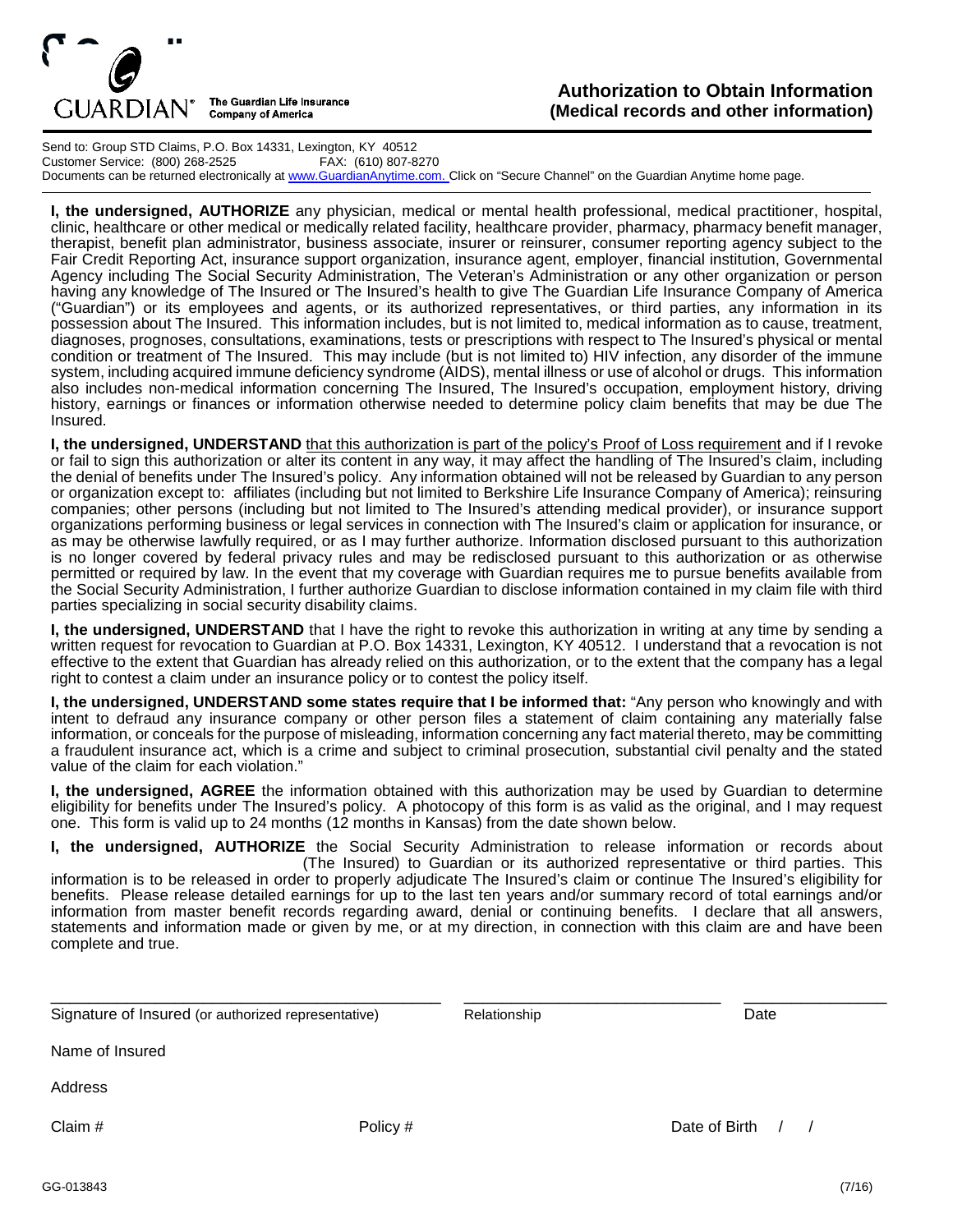

Send to: Group STD Claims, P.O. Box 14331, Lexington, KY 40512<br>Customer Service: (800) 268-2525<br>FAX: (610) 807-8270 Customer Service: (800) 268-2525 Documents can be returned electronically a[t www.GuardianAnytime.com. C](file://n9000sf2/NBASSYPUBLIC/Forms/Claims/STD/GG013843%20with%20Universal%20Fraud%20Language/www.GuardianAnytime.com)lick on "Secure Channel" on the Guardian Anytime home page.

**I, the undersigned, AUTHORIZE** any physician, medical or mental health professional, medical practitioner, hospital, clinic, healthcare or other medical or medically related facility, healthcare provider, pharmacy, pharmacy benefit manager, therapist, benefit plan administrator, business associate, insurer or reinsurer, consumer reporting agency subject to the Fair Credit Reporting Act, insurance support organization, insurance agent, employer, financial institution, Governmental Agency including The Social Security Administration, The Veteran's Administration or any other organization or person having any knowledge of The Insured or The Insured's health to give The Guardian Life Insurance Company of America ("Guardian") or its employees and agents, or its authorized representatives, or third parties, any information in its possession about The Insured. This information includes, but is not limited to, medical information as to cause, treatment, diagnoses, prognoses, consultations, examinations, tests or prescriptions with respect to The Insured's physical or mental condition or treatment of The Insured. This may include (but is not limited to) HIV infection, any disorder of the immune system, including acquired immune deficiency syndrome (AIDS), mental illness or use of alcohol or drugs. This information also includes non-medical information concerning The Insured, The Insured's occupation, employment history, driving history, earnings or finances or information otherwise needed to determine policy claim benefits that may be due The Insured.

**I, the undersigned, UNDERSTAND** that this authorization is part of the policy's Proof of Loss requirement and if I revoke or fail to sign this authorization or alter its content in any way, it may affect the handling of The Insured's claim, including the denial of benefits under The Insured's policy. Any information obtained will not be released by Guardian to any person or organization except to: affiliates (including but not limited to Berkshire Life Insurance Company of America); reinsuring companies; other persons (including but not limited to The Insured's attending medical provider), or insurance support organizations performing business or legal services in connection with The Insured's claim or application for insurance, or as may be otherwise lawfully required, or as I may further authorize. Information disclosed pursuant to this authorization is no longer covered by federal privacy rules and may be redisclosed pursuant to this authorization or as otherwise permitted or required by law. In the event that my coverage with Guardian requires me to pursue benefits available from the Social Security Administration, I further authorize Guardian to disclose information contained in my claim file with third parties specializing in social security disability claims.

**I, the undersigned, UNDERSTAND** that I have the right to revoke this authorization in writing at any time by sending a written request for revocation to Guardian at P.O. Box 14331, Lexington, KY 40512. I understand that a revocation is not effective to the extent that Guardian has already relied on this authorization, or to the extent that the company has a legal right to contest a claim under an insurance policy or to contest the policy itself.

**I, the undersigned, UNDERSTAND some states require that I be informed that:** "Any person who knowingly and with intent to defraud any insurance company or other person files a statement of claim containing any materially false information, or conceals for the purpose of misleading, information concerning any fact material thereto, may be committing a fraudulent insurance act, which is a crime and subject to criminal prosecution, substantial civil penalty and the stated value of the claim for each violation."

**I, the undersigned, AGREE** the information obtained with this authorization may be used by Guardian to determine eligibility for benefits under The Insured's policy. A photocopy of this form is as valid as the original, and I may request one. This form is valid up to 24 months (12 months in Kansas) from the date shown below.

**I, the undersigned, AUTHORIZE** the Social Security Administration to release information or records about (The Insured) to Guardian or its authorized representative or third parties. This information is to be released in order to properly adjudicate The Insured's claim or continue The Insured's eligibility for benefits. Please release detailed earnings for up to the last ten years and/or summary record of total earnings and/or information from master benefit records regarding award, denial or continuing benefits. I declare that all answers, statements and information made or given by me, or at my direction, in connection with this claim are and have been complete and true.

| Signature of Insured (or authorized representative) |          | Relationship | Date          |
|-----------------------------------------------------|----------|--------------|---------------|
| Name of Insured                                     |          |              |               |
| Address                                             |          |              |               |
| Claim #                                             | Policy # |              | Date of Birth |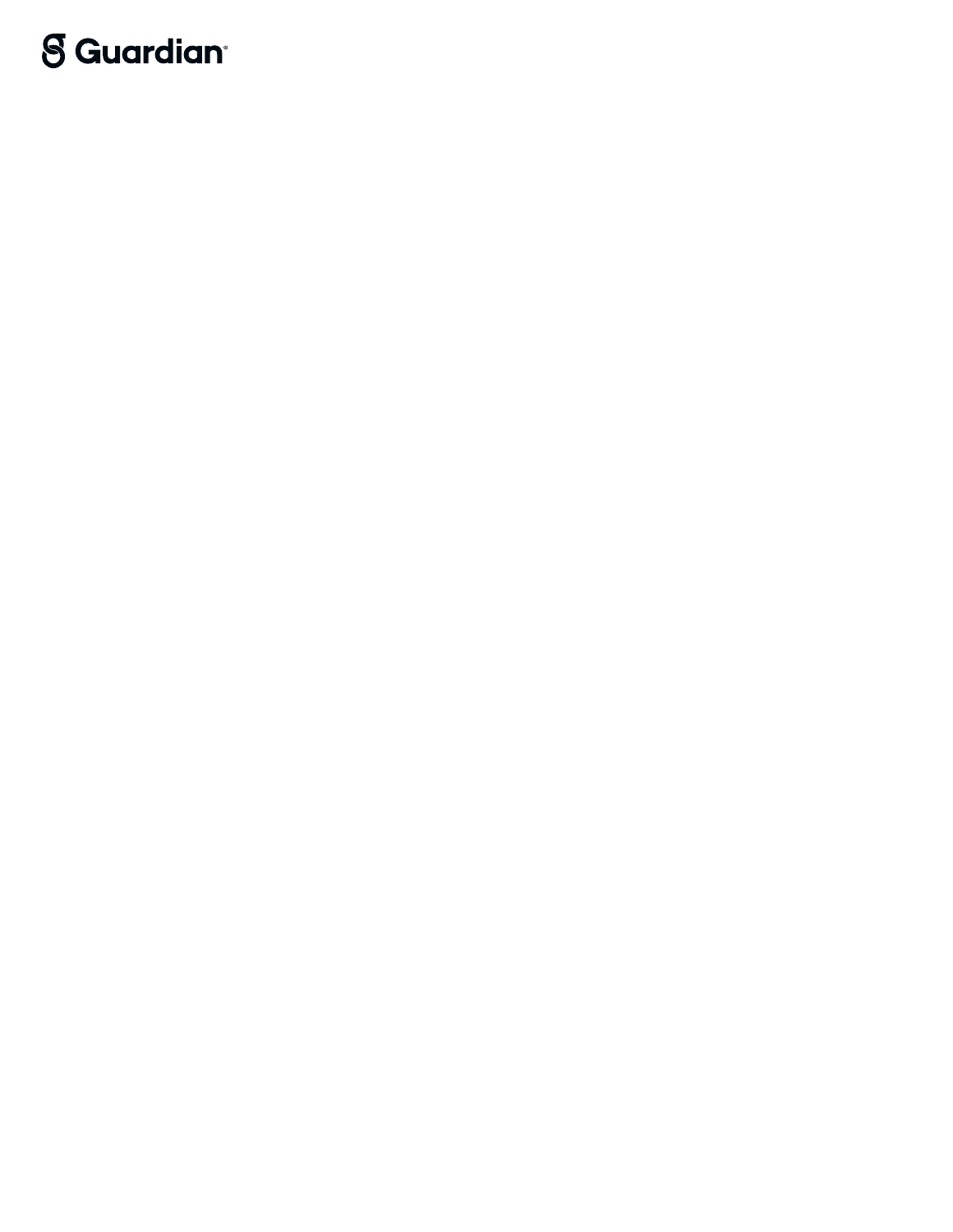## **S** Guardian®